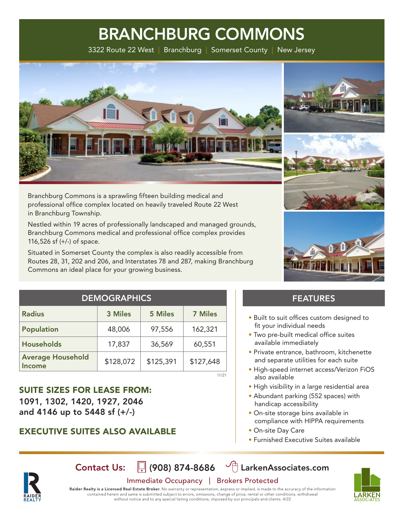3322 Route 22 West | Branchburg | Somerset County | New Jersey



Branchburg Commons is a sprawling fifteen building medical and professional office complex located on heavily traveled Route 22 West in Branchburg Township.

Nestled within 19 acres of professionally landscaped and managed grounds, Branchburg Commons medical and professional office complex provides 116,526 sf (+/-) of space.

Situated in Somerset County the complex is also readily accessible from Routes 28, 31, 202 and 206, and Interstates 78 and 287, making Branchburg Commons an ideal place for your growing business.

| <b>STEE HLILIL.</b> |
|---------------------|
|                     |

| <b>Radius</b>                      | 3 Miles   | <b>5 Miles</b> | <b>7 Miles</b> |
|------------------------------------|-----------|----------------|----------------|
| Population                         | 48,006    | 97,556         | 162,321        |
| <b>Households</b>                  | 17,837    | 36,569         | 60,551         |
| <b>Average Household</b><br>Income | \$128,072 | \$125,391      | \$127,648      |

SUITE SIZES FOR LEASE FROM: 1091, 1302, 1420, 1927, 2046 and 4146 up to 5448 sf (+/-)

### EXECUTIVE SUITES ALSO AVAILABLE

### FEATURES

- Built to suit offices custom designed to fit your individual needs
- Two pre-built medical office suites available immediately
- Private entrance, bathroom, kitchenette and separate utilities for each suite
- High-speed internet access/Verizon FiOS also available
- High visibility in a large residential area
- Abundant parking (552 spaces) with handicap accessibility
- On-site storage bins available in compliance with HIPPA requirements
- On-site Day Care
- Furnished Executive Suites available



Contact Us:  $\[\n\]$  (908) 874-8686  $\[\n\circled{r}\]$  LarkenAssociates.com

11/21

### Immediate Occupancy | Brokers Protected

Raider Realty is a Licensed Real Estate Broker. No warranty or representation, express or implied, is made to the accuracy of the information contained herein and same is submitted subject to errors, omissions, change of price, rental or other conditions, withdrawal without notice and to any special listing conditions, imposed by our principals and clients. 4/22

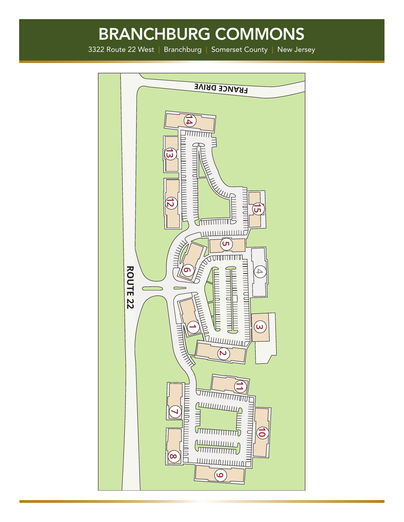3322 Route 22 West | Branchburg | Somerset County | New Jersey

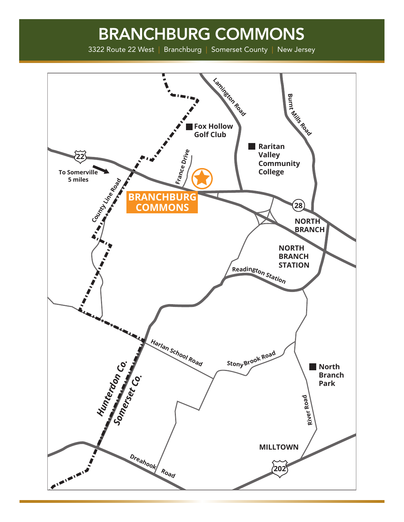3322 Route 22 West | Branchburg | Somerset County | New Jersey

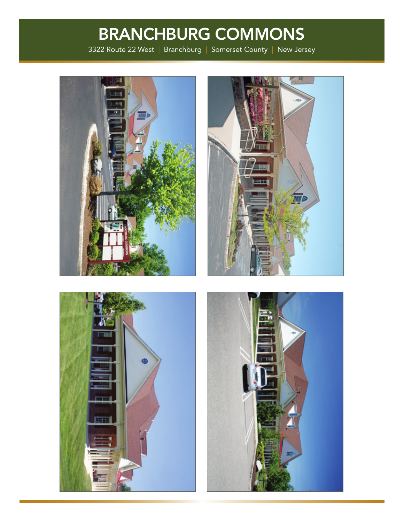3322 Route 22 West | Branchburg | Somerset County | New Jersey